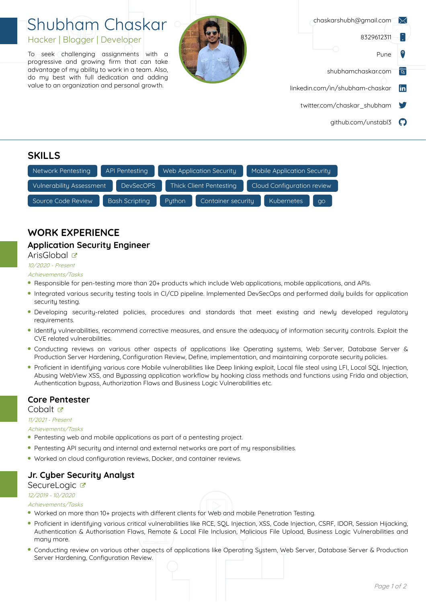# Shubham Chaskar Hacker | Blogger | Developer

To seek challenging assignments with a progressive and growing firm that can take advantage of my ability to work in a team. Also, do my best with full dedication and adding value to an organization and personal growth.



|    | chaskarshubh@gmail.com          |
|----|---------------------------------|
|    | 8329612311                      |
|    | Pune                            |
| 72 | shubhamchaskar.com              |
| m  | linkedin.com/in/shubham-chaskar |
|    | twitter.com/chaskar shubham     |
|    | github.com/unstabl3             |

## **SKILLS**



## **WORK EXPERIENCE**

### **Application Security Engineer**

### ArisGlobal &

### 10/2020 -Present,

#### Achievements/Tasks

- Responsible for pen-testing more than 20+ products which include Web applications, mobile applications, and APIs.
- Integrated various security testing tools in CI/CD pipeline. Implemented DevSecOps and performed daily builds for application security testing.
- Developing security-related policies, procedures and standards that meet existing and newly developed regulatory requirements.
- Identify vulnerabilities, recommend corrective measures, and ensure the adequacy of information security controls. Exploit the CVE related vulnerabilities.
- Conducting reviews on various other aspects of applications like Operating systems, Web Server, Database Server & Production Server Hardening, Configuration Review, Define, implementation, and maintaining corporate security policies.
- Proficient in identifying various core Mobile vulnerabilities like Deep linking exploit, Local file steal using LFI, Local SQL Injection, Abusing WebView XSS, and Bypassing application workflow by hooking class methods and functions using Frida and objection, Authentication bypass, Authorization Flaws and Business Logic Vulnerabilities etc.

### **Core Pentester**

#### Cobalt<sub>¤</sub>

11/2021 - Present,

#### Achievements/Tasks

- Pentesting web and mobile applications as part of a pentesting project.
- Pentesting API security and internal and external networks are part of my responsibilities.
- Worked on cloud configuration reviews, Docker, and container reviews.

### **Jr. Cyber Security Analyst**

### SecureLogic &

### 12/2019 - 10/2020,

#### Achievements/Tasks

- . Worked on more than 10+ projects with different clients for Web and mobile Penetration Testing.
- Proficient in identifying various critical vulnerabilities like RCE, SQL Injection, XSS, Code Injection, CSRF, IDOR, Session Hijacking, Authentication & Authorisation Flaws, Remote & Local File Inclusion, Malicious File Upload, Business Logic Vulnerabilities and many more.
- Conducting review on various other aspects of applications like Operating System, Web Server, Database Server & Production Server Hardening, Configuration Review.